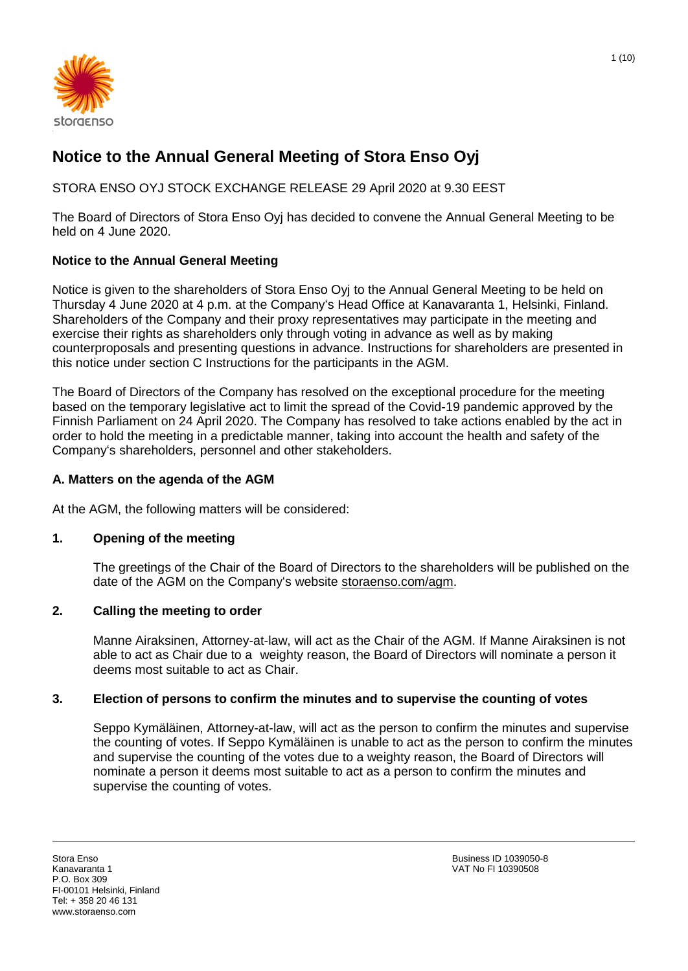

# **Notice to the Annual General Meeting of Stora Enso Oyj**

STORA ENSO OYJ STOCK EXCHANGE RELEASE 29 April 2020 at 9.30 EEST

The Board of Directors of Stora Enso Oyj has decided to convene the Annual General Meeting to be held on 4 June 2020.

# **Notice to the Annual General Meeting**

Notice is given to the shareholders of Stora Enso Oyj to the Annual General Meeting to be held on Thursday 4 June 2020 at 4 p.m. at the Company's Head Office at Kanavaranta 1, Helsinki, Finland. Shareholders of the Company and their proxy representatives may participate in the meeting and exercise their rights as shareholders only through voting in advance as well as by making counterproposals and presenting questions in advance. Instructions for shareholders are presented in this notice under section C Instructions for the participants in the AGM.

The Board of Directors of the Company has resolved on the exceptional procedure for the meeting based on the temporary legislative act to limit the spread of the Covid-19 pandemic approved by the Finnish Parliament on 24 April 2020. The Company has resolved to take actions enabled by the act in order to hold the meeting in a predictable manner, taking into account the health and safety of the Company's shareholders, personnel and other stakeholders.

# **A. Matters on the agenda of the AGM**

At the AGM, the following matters will be considered:

# **1. Opening of the meeting**

The greetings of the Chair of the Board of Directors to the shareholders will be published on the date of the AGM on the Company's website [storaenso.com/agm.](https://www.storaenso.com/en/investors/governance/annual-general-meeting)

# **2. Calling the meeting to order**

Manne Airaksinen, Attorney-at-law, will act as the Chair of the AGM. If Manne Airaksinen is not able to act as Chair due to a weighty reason, the Board of Directors will nominate a person it deems most suitable to act as Chair.

# **3. Election of persons to confirm the minutes and to supervise the counting of votes**

Seppo Kymäläinen, Attorney-at-law, will act as the person to confirm the minutes and supervise the counting of votes. If Seppo Kymäläinen is unable to act as the person to confirm the minutes and supervise the counting of the votes due to a weighty reason, the Board of Directors will nominate a person it deems most suitable to act as a person to confirm the minutes and supervise the counting of votes.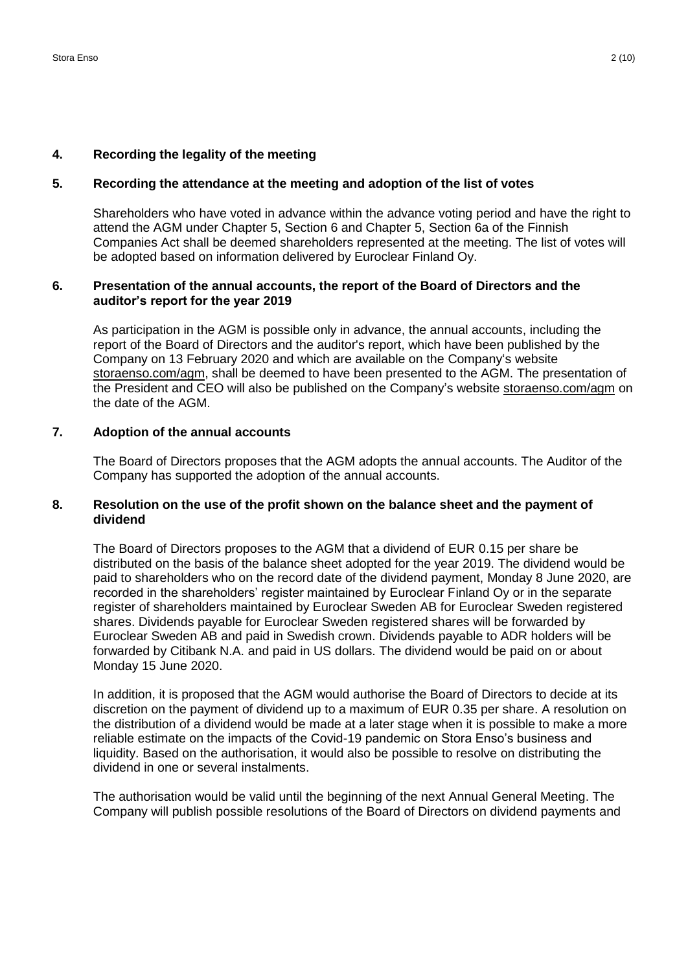#### **4. Recording the legality of the meeting**

#### **5. Recording the attendance at the meeting and adoption of the list of votes**

Shareholders who have voted in advance within the advance voting period and have the right to attend the AGM under Chapter 5, Section 6 and Chapter 5, Section 6a of the Finnish Companies Act shall be deemed shareholders represented at the meeting. The list of votes will be adopted based on information delivered by Euroclear Finland Oy.

# **6. Presentation of the annual accounts, the report of the Board of Directors and the auditor's report for the year 2019**

As participation in the AGM is possible only in advance, the annual accounts, including the report of the Board of Directors and the auditor's report, which have been published by the Company on 13 February 2020 and which are available on the Company's website [storaenso.com/agm,](https://www.storaenso.com/en/investors/governance/annual-general-meeting) shall be deemed to have been presented to the AGM. The presentation of the President and CEO will also be published on the Company's website [storaenso.com/agm](https://www.storaenso.com/en/investors/governance/annual-general-meeting) on the date of the AGM.

# **7. Adoption of the annual accounts**

The Board of Directors proposes that the AGM adopts the annual accounts. The Auditor of the Company has supported the adoption of the annual accounts.

# **8. Resolution on the use of the profit shown on the balance sheet and the payment of dividend**

The Board of Directors proposes to the AGM that a dividend of EUR 0.15 per share be distributed on the basis of the balance sheet adopted for the year 2019. The dividend would be paid to shareholders who on the record date of the dividend payment, Monday 8 June 2020, are recorded in the shareholders' register maintained by Euroclear Finland Oy or in the separate register of shareholders maintained by Euroclear Sweden AB for Euroclear Sweden registered shares. Dividends payable for Euroclear Sweden registered shares will be forwarded by Euroclear Sweden AB and paid in Swedish crown. Dividends payable to ADR holders will be forwarded by Citibank N.A. and paid in US dollars. The dividend would be paid on or about Monday 15 June 2020.

In addition, it is proposed that the AGM would authorise the Board of Directors to decide at its discretion on the payment of dividend up to a maximum of EUR 0.35 per share. A resolution on the distribution of a dividend would be made at a later stage when it is possible to make a more reliable estimate on the impacts of the Covid-19 pandemic on Stora Enso's business and liquidity. Based on the authorisation, it would also be possible to resolve on distributing the dividend in one or several instalments.

The authorisation would be valid until the beginning of the next Annual General Meeting. The Company will publish possible resolutions of the Board of Directors on dividend payments and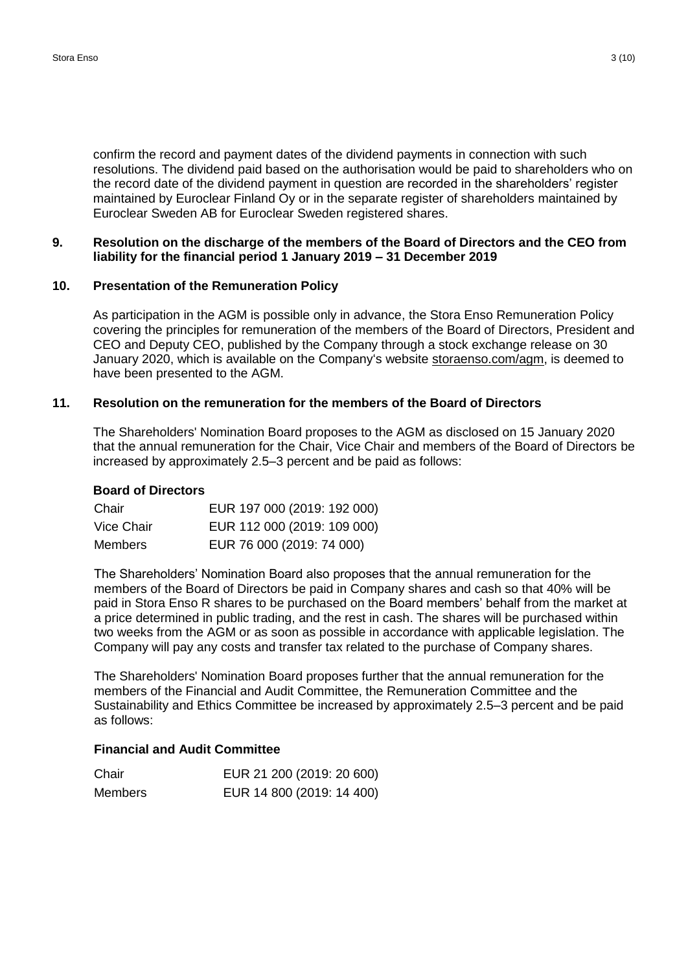confirm the record and payment dates of the dividend payments in connection with such resolutions. The dividend paid based on the authorisation would be paid to shareholders who on the record date of the dividend payment in question are recorded in the shareholders' register maintained by Euroclear Finland Oy or in the separate register of shareholders maintained by Euroclear Sweden AB for Euroclear Sweden registered shares.

#### **9. Resolution on the discharge of the members of the Board of Directors and the CEO from liability for the financial period 1 January 2019 – 31 December 2019**

#### **10. Presentation of the Remuneration Policy**

As participation in the AGM is possible only in advance, the Stora Enso Remuneration Policy covering the principles for remuneration of the members of the Board of Directors, President and CEO and Deputy CEO, published by the Company through a stock exchange release on 30 January 2020, which is available on the Company's website [storaenso.com/agm,](https://www.storaenso.com/en/investors/governance/annual-general-meeting) is deemed to have been presented to the AGM.

#### **11. Resolution on the remuneration for the members of the Board of Directors**

The Shareholders' Nomination Board proposes to the AGM as disclosed on 15 January 2020 that the annual remuneration for the Chair, Vice Chair and members of the Board of Directors be increased by approximately 2.5–3 percent and be paid as follows:

#### **Board of Directors**

| Chair      | EUR 197 000 (2019: 192 000) |
|------------|-----------------------------|
| Vice Chair | EUR 112 000 (2019: 109 000) |
| Members    | EUR 76 000 (2019: 74 000)   |

The Shareholders' Nomination Board also proposes that the annual remuneration for the members of the Board of Directors be paid in Company shares and cash so that 40% will be paid in Stora Enso R shares to be purchased on the Board members' behalf from the market at a price determined in public trading, and the rest in cash. The shares will be purchased within two weeks from the AGM or as soon as possible in accordance with applicable legislation. The Company will pay any costs and transfer tax related to the purchase of Company shares.

The Shareholders' Nomination Board proposes further that the annual remuneration for the members of the Financial and Audit Committee, the Remuneration Committee and the Sustainability and Ethics Committee be increased by approximately 2.5–3 percent and be paid as follows:

#### **Financial and Audit Committee**

| Chair          | EUR 21 200 (2019: 20 600) |
|----------------|---------------------------|
| <b>Members</b> | EUR 14 800 (2019: 14 400) |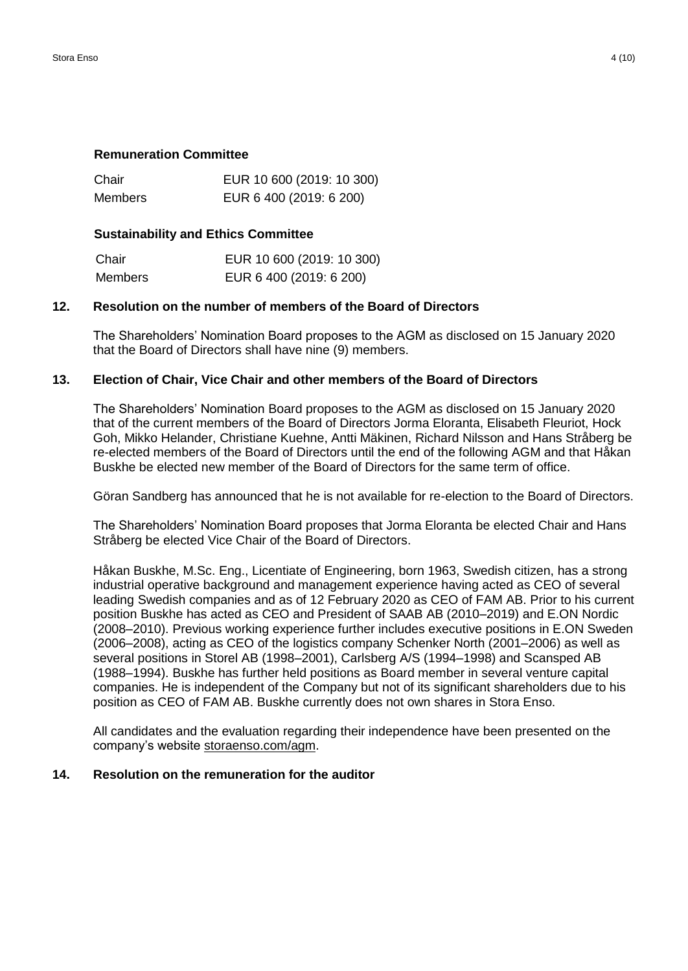#### **Remuneration Committee**

| Chair   | EUR 10 600 (2019: 10 300) |
|---------|---------------------------|
| Members | EUR 6 400 (2019: 6 200)   |

# **Sustainability and Ethics Committee**

| Chair          | EUR 10 600 (2019: 10 300) |
|----------------|---------------------------|
| <b>Members</b> | EUR 6 400 (2019: 6 200)   |

# **12. Resolution on the number of members of the Board of Directors**

The Shareholders' Nomination Board proposes to the AGM as disclosed on 15 January 2020 that the Board of Directors shall have nine (9) members.

# **13. Election of Chair, Vice Chair and other members of the Board of Directors**

The Shareholders' Nomination Board proposes to the AGM as disclosed on 15 January 2020 that of the current members of the Board of Directors Jorma Eloranta, Elisabeth Fleuriot, Hock Goh, Mikko Helander, Christiane Kuehne, Antti Mäkinen, Richard Nilsson and Hans Stråberg be re-elected members of the Board of Directors until the end of the following AGM and that Håkan Buskhe be elected new member of the Board of Directors for the same term of office.

Göran Sandberg has announced that he is not available for re-election to the Board of Directors.

The Shareholders' Nomination Board proposes that Jorma Eloranta be elected Chair and Hans Stråberg be elected Vice Chair of the Board of Directors.

Håkan Buskhe, M.Sc. Eng., Licentiate of Engineering, born 1963, Swedish citizen, has a strong industrial operative background and management experience having acted as CEO of several leading Swedish companies and as of 12 February 2020 as CEO of FAM AB. Prior to his current position Buskhe has acted as CEO and President of SAAB AB (2010–2019) and E.ON Nordic (2008–2010). Previous working experience further includes executive positions in E.ON Sweden (2006–2008), acting as CEO of the logistics company Schenker North (2001–2006) as well as several positions in Storel AB (1998–2001), Carlsberg A/S (1994–1998) and Scansped AB (1988–1994). Buskhe has further held positions as Board member in several venture capital companies. He is independent of the Company but not of its significant shareholders due to his position as CEO of FAM AB. Buskhe currently does not own shares in Stora Enso.

All candidates and the evaluation regarding their independence have been presented on the company's website [storaenso.com/agm.](https://www.storaenso.com/en/investors/governance/annual-general-meeting)

#### **14. Resolution on the remuneration for the auditor**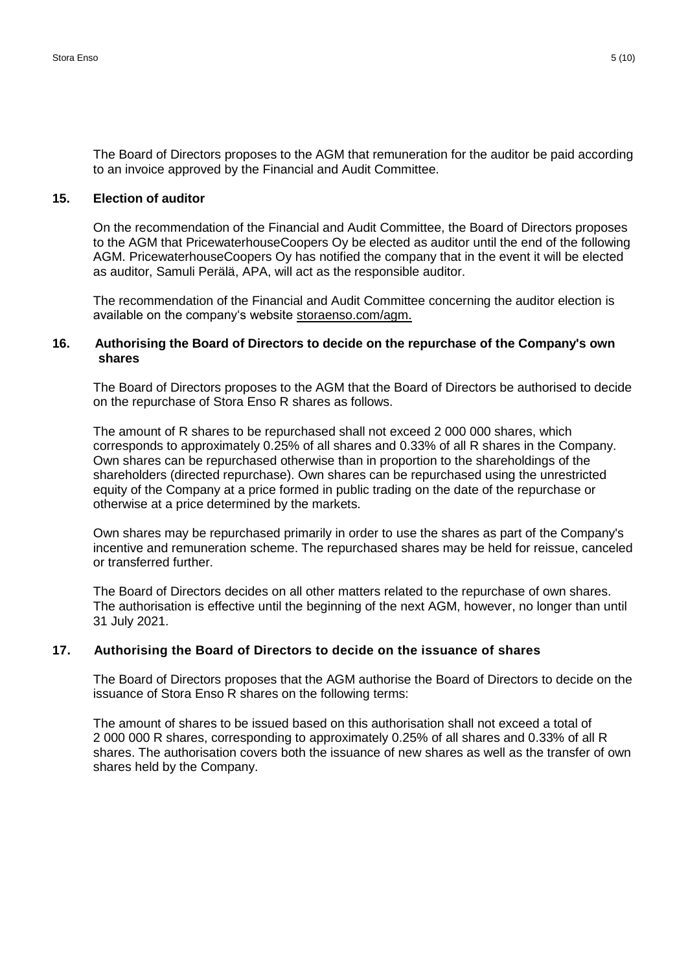The Board of Directors proposes to the AGM that remuneration for the auditor be paid according to an invoice approved by the Financial and Audit Committee.

# **15. Election of auditor**

On the recommendation of the Financial and Audit Committee, the Board of Directors proposes to the AGM that PricewaterhouseCoopers Oy be elected as auditor until the end of the following AGM. PricewaterhouseCoopers Oy has notified the company that in the event it will be elected as auditor, Samuli Perälä, APA, will act as the responsible auditor.

The recommendation of the Financial and Audit Committee concerning the auditor election is available on the company's website [storaenso.com/agm.](https://www.storaenso.com/en/investors/governance/annual-general-meeting)

#### **16. Authorising the Board of Directors to decide on the repurchase of the Company's own shares**

The Board of Directors proposes to the AGM that the Board of Directors be authorised to decide on the repurchase of Stora Enso R shares as follows.

The amount of R shares to be repurchased shall not exceed 2 000 000 shares, which corresponds to approximately 0.25% of all shares and 0.33% of all R shares in the Company. Own shares can be repurchased otherwise than in proportion to the shareholdings of the shareholders (directed repurchase). Own shares can be repurchased using the unrestricted equity of the Company at a price formed in public trading on the date of the repurchase or otherwise at a price determined by the markets.

Own shares may be repurchased primarily in order to use the shares as part of the Company's incentive and remuneration scheme. The repurchased shares may be held for reissue, canceled or transferred further.

The Board of Directors decides on all other matters related to the repurchase of own shares. The authorisation is effective until the beginning of the next AGM, however, no longer than until 31 July 2021.

#### **17. Authorising the Board of Directors to decide on the issuance of shares**

The Board of Directors proposes that the AGM authorise the Board of Directors to decide on the issuance of Stora Enso R shares on the following terms:

The amount of shares to be issued based on this authorisation shall not exceed a total of 2 000 000 R shares, corresponding to approximately 0.25% of all shares and 0.33% of all R shares. The authorisation covers both the issuance of new shares as well as the transfer of own shares held by the Company.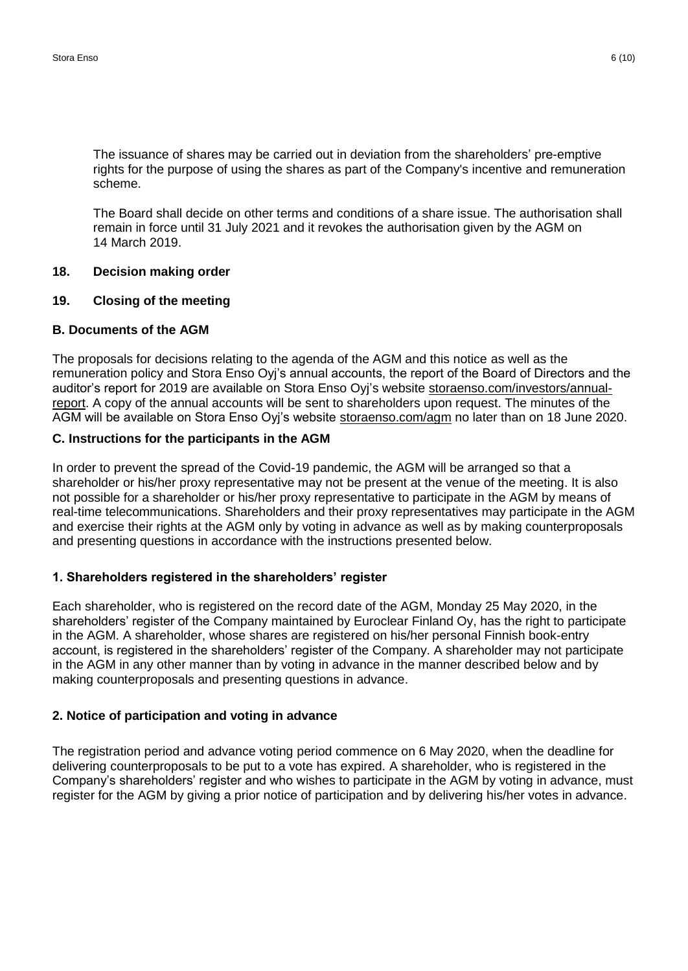The issuance of shares may be carried out in deviation from the shareholders' pre-emptive rights for the purpose of using the shares as part of the Company's incentive and remuneration scheme.

The Board shall decide on other terms and conditions of a share issue. The authorisation shall remain in force until 31 July 2021 and it revokes the authorisation given by the AGM on 14 March 2019.

#### **18. Decision making order**

#### **19. Closing of the meeting**

# **B. Documents of the AGM**

The proposals for decisions relating to the agenda of the AGM and this notice as well as the remuneration policy and Stora Enso Oyj's annual accounts, the report of the Board of Directors and the auditor's report for 2019 are available on Stora Enso Oyj's website [storaenso.com/investors/annual](https://www.storaenso.com/en/investors/reports-and-presentations)[report.](https://www.storaenso.com/en/investors/reports-and-presentations) A copy of the annual accounts will be sent to shareholders upon request. The minutes of the AGM will be available on Stora Enso Oyj's website [storaenso.com/agm](https://www.storaenso.com/en/investors/governance/annual-general-meeting) no later than on 18 June 2020.

# **C. Instructions for the participants in the AGM**

In order to prevent the spread of the Covid-19 pandemic, the AGM will be arranged so that a shareholder or his/her proxy representative may not be present at the venue of the meeting. It is also not possible for a shareholder or his/her proxy representative to participate in the AGM by means of real-time telecommunications. Shareholders and their proxy representatives may participate in the AGM and exercise their rights at the AGM only by voting in advance as well as by making counterproposals and presenting questions in accordance with the instructions presented below.

#### **1. Shareholders registered in the shareholders' register**

Each shareholder, who is registered on the record date of the AGM, Monday 25 May 2020, in the shareholders' register of the Company maintained by Euroclear Finland Oy, has the right to participate in the AGM. A shareholder, whose shares are registered on his/her personal Finnish book-entry account, is registered in the shareholders' register of the Company. A shareholder may not participate in the AGM in any other manner than by voting in advance in the manner described below and by making counterproposals and presenting questions in advance.

# **2. Notice of participation and voting in advance**

The registration period and advance voting period commence on 6 May 2020, when the deadline for delivering counterproposals to be put to a vote has expired. A shareholder, who is registered in the Company's shareholders' register and who wishes to participate in the AGM by voting in advance, must register for the AGM by giving a prior notice of participation and by delivering his/her votes in advance.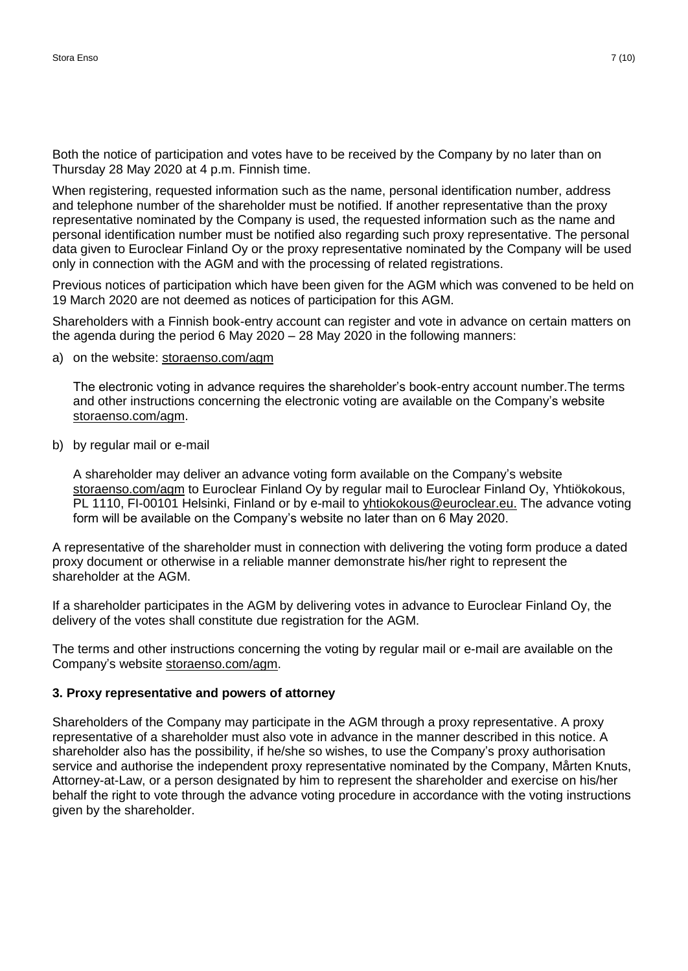Both the notice of participation and votes have to be received by the Company by no later than on Thursday 28 May 2020 at 4 p.m. Finnish time.

When registering, requested information such as the name, personal identification number, address and telephone number of the shareholder must be notified. If another representative than the proxy representative nominated by the Company is used, the requested information such as the name and personal identification number must be notified also regarding such proxy representative. The personal data given to Euroclear Finland Oy or the proxy representative nominated by the Company will be used only in connection with the AGM and with the processing of related registrations.

Previous notices of participation which have been given for the AGM which was convened to be held on 19 March 2020 are not deemed as notices of participation for this AGM.

Shareholders with a Finnish book-entry account can register and vote in advance on certain matters on the agenda during the period 6 May 2020 – 28 May 2020 in the following manners:

a) on the website: [storaenso.com/agm](https://www.storaenso.com/en/investors/governance/annual-general-meeting)

The electronic voting in advance requires the shareholder's book-entry account number.The terms and other instructions concerning the electronic voting are available on the Company's website [storaenso.com/agm.](https://www.storaenso.com/en/investors/governance/annual-general-meeting)

b) by regular mail or e-mail

A shareholder may deliver an advance voting form available on the Company's website [storaenso.com/agm](https://www.storaenso.com/en/investors/governance/annual-general-meeting) to Euroclear Finland Oy by regular mail to Euroclear Finland Oy, Yhtiökokous, PL 1110, FI-00101 Helsinki, Finland or by e-mail to [yhtiokokous@euroclear.eu.](mailto:yhtiokokous@euroclear.eu) The advance voting form will be available on the Company's website no later than on 6 May 2020.

A representative of the shareholder must in connection with delivering the voting form produce a dated proxy document or otherwise in a reliable manner demonstrate his/her right to represent the shareholder at the AGM.

If a shareholder participates in the AGM by delivering votes in advance to Euroclear Finland Oy, the delivery of the votes shall constitute due registration for the AGM.

The terms and other instructions concerning the voting by regular mail or e-mail are available on the Company's website [storaenso.com/agm.](https://www.storaenso.com/en/investors/governance/annual-general-meeting)

# **3. Proxy representative and powers of attorney**

Shareholders of the Company may participate in the AGM through a proxy representative. A proxy representative of a shareholder must also vote in advance in the manner described in this notice. A shareholder also has the possibility, if he/she so wishes, to use the Company's proxy authorisation service and authorise the independent proxy representative nominated by the Company, Mårten Knuts, Attorney-at-Law, or a person designated by him to represent the shareholder and exercise on his/her behalf the right to vote through the advance voting procedure in accordance with the voting instructions given by the shareholder.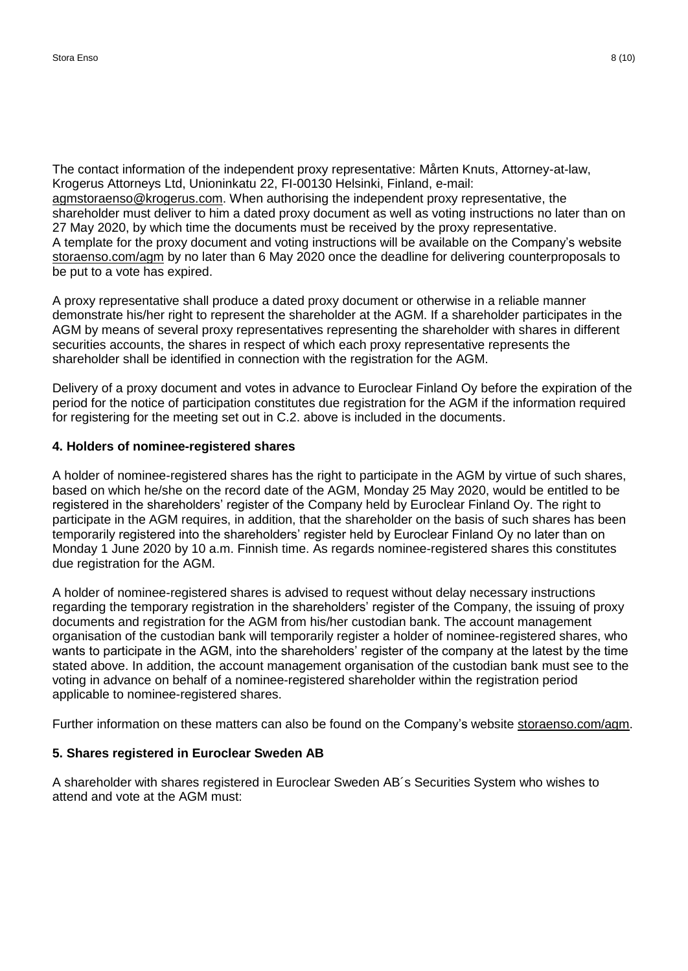The contact information of the independent proxy representative: Mårten Knuts, Attorney-at-law, Krogerus Attorneys Ltd, Unioninkatu 22, FI-00130 Helsinki, Finland, e-mail: [agmstoraenso@krogerus.com.](mailto:agmstoraenso@krogerus.com) When authorising the independent proxy representative, the shareholder must deliver to him a dated proxy document as well as voting instructions no later than on 27 May 2020, by which time the documents must be received by the proxy representative. A template for the proxy document and voting instructions will be available on the Company's website [storaenso.com/agm](https://www.storaenso.com/en/investors/governance/annual-general-meeting) by no later than 6 May 2020 once the deadline for delivering counterproposals to be put to a vote has expired.

A proxy representative shall produce a dated proxy document or otherwise in a reliable manner demonstrate his/her right to represent the shareholder at the AGM. If a shareholder participates in the AGM by means of several proxy representatives representing the shareholder with shares in different securities accounts, the shares in respect of which each proxy representative represents the shareholder shall be identified in connection with the registration for the AGM.

Delivery of a proxy document and votes in advance to Euroclear Finland Oy before the expiration of the period for the notice of participation constitutes due registration for the AGM if the information required for registering for the meeting set out in C.2. above is included in the documents.

# **4. Holders of nominee-registered shares**

A holder of nominee-registered shares has the right to participate in the AGM by virtue of such shares, based on which he/she on the record date of the AGM, Monday 25 May 2020, would be entitled to be registered in the shareholders' register of the Company held by Euroclear Finland Oy. The right to participate in the AGM requires, in addition, that the shareholder on the basis of such shares has been temporarily registered into the shareholders' register held by Euroclear Finland Oy no later than on Monday 1 June 2020 by 10 a.m. Finnish time. As regards nominee-registered shares this constitutes due registration for the AGM.

A holder of nominee-registered shares is advised to request without delay necessary instructions regarding the temporary registration in the shareholders' register of the Company, the issuing of proxy documents and registration for the AGM from his/her custodian bank. The account management organisation of the custodian bank will temporarily register a holder of nominee-registered shares, who wants to participate in the AGM, into the shareholders' register of the company at the latest by the time stated above. In addition, the account management organisation of the custodian bank must see to the voting in advance on behalf of a nominee-registered shareholder within the registration period applicable to nominee-registered shares.

Further information on these matters can also be found on the Company's website [storaenso.com/agm.](https://www.storaenso.com/en/investors/governance/annual-general-meeting)

# **5. Shares registered in Euroclear Sweden AB**

A shareholder with shares registered in Euroclear Sweden AB´s Securities System who wishes to attend and vote at the AGM must: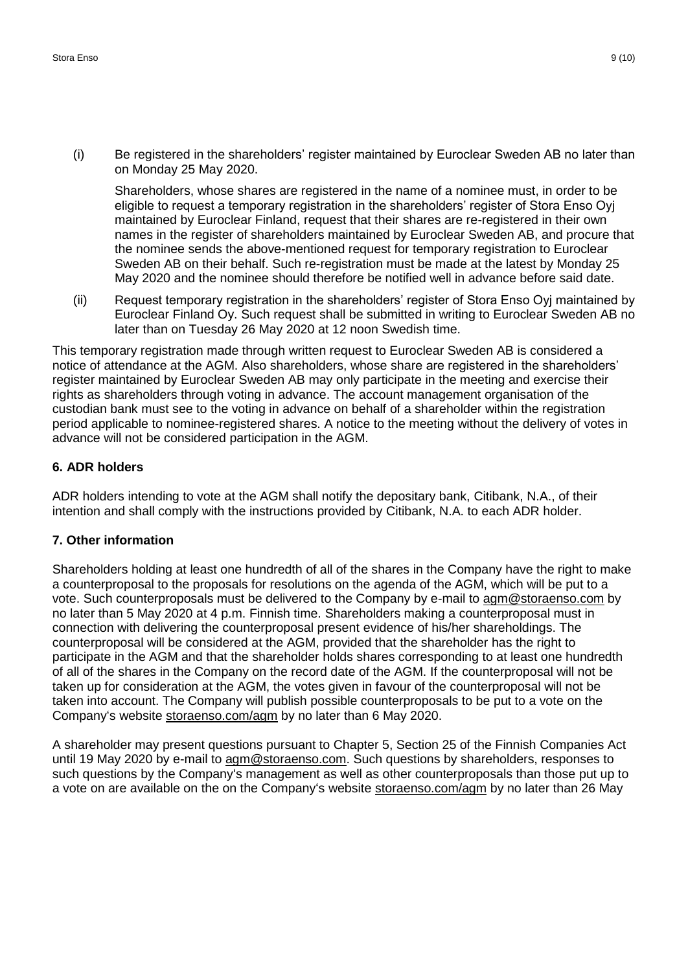(i) Be registered in the shareholders' register maintained by Euroclear Sweden AB no later than on Monday 25 May 2020.

Shareholders, whose shares are registered in the name of a nominee must, in order to be eligible to request a temporary registration in the shareholders' register of Stora Enso Oyj maintained by Euroclear Finland, request that their shares are re-registered in their own names in the register of shareholders maintained by Euroclear Sweden AB, and procure that the nominee sends the above-mentioned request for temporary registration to Euroclear Sweden AB on their behalf. Such re-registration must be made at the latest by Monday 25 May 2020 and the nominee should therefore be notified well in advance before said date.

(ii) Request temporary registration in the shareholders' register of Stora Enso Oyj maintained by Euroclear Finland Oy. Such request shall be submitted in writing to Euroclear Sweden AB no later than on Tuesday 26 May 2020 at 12 noon Swedish time.

This temporary registration made through written request to Euroclear Sweden AB is considered a notice of attendance at the AGM. Also shareholders, whose share are registered in the shareholders' register maintained by Euroclear Sweden AB may only participate in the meeting and exercise their rights as shareholders through voting in advance. The account management organisation of the custodian bank must see to the voting in advance on behalf of a shareholder within the registration period applicable to nominee-registered shares. A notice to the meeting without the delivery of votes in advance will not be considered participation in the AGM.

# **6. ADR holders**

ADR holders intending to vote at the AGM shall notify the depositary bank, Citibank, N.A., of their intention and shall comply with the instructions provided by Citibank, N.A. to each ADR holder.

# **7. Other information**

Shareholders holding at least one hundredth of all of the shares in the Company have the right to make a counterproposal to the proposals for resolutions on the agenda of the AGM, which will be put to a vote. Such counterproposals must be delivered to the Company by e-mail to [agm@storaenso.com](mailto:agm@storaenso.com) by no later than 5 May 2020 at 4 p.m. Finnish time. Shareholders making a counterproposal must in connection with delivering the counterproposal present evidence of his/her shareholdings. The counterproposal will be considered at the AGM, provided that the shareholder has the right to participate in the AGM and that the shareholder holds shares corresponding to at least one hundredth of all of the shares in the Company on the record date of the AGM. If the counterproposal will not be taken up for consideration at the AGM, the votes given in favour of the counterproposal will not be taken into account. The Company will publish possible counterproposals to be put to a vote on the Company's website [storaenso.com/agm](https://www.storaenso.com/en/investors/governance/annual-general-meeting) by no later than 6 May 2020.

A shareholder may present questions pursuant to Chapter 5, Section 25 of the Finnish Companies Act until 19 May 2020 by e-mail to [agm@storaenso.com.](mailto:agm@storaenso.com) Such questions by shareholders, responses to such questions by the Company's management as well as other counterproposals than those put up to a vote on are available on the on the Company's website [storaenso.com/agm](https://www.storaenso.com/en/investors/governance/annual-general-meeting) by no later than 26 May